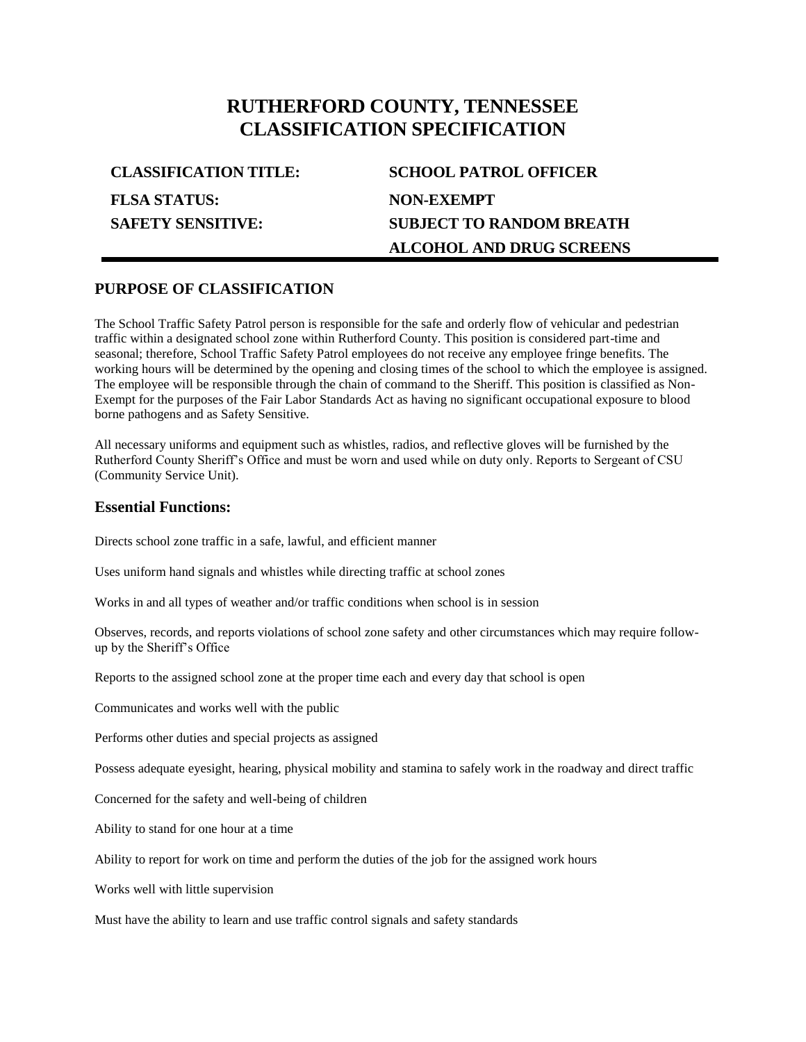# **RUTHERFORD COUNTY, TENNESSEE CLASSIFICATION SPECIFICATION**

| <b>CLASSIFICATION TITLE:</b> | <b>SCHOOL PATROL OFFICER</b>    |
|------------------------------|---------------------------------|
| <b>FLSA STATUS:</b>          | NON-EXEMPT                      |
| <b>SAFETY SENSITIVE:</b>     | <b>SUBJECT TO RANDOM BREATH</b> |
|                              | <b>ALCOHOL AND DRUG SCREENS</b> |

### **PURPOSE OF CLASSIFICATION**

The School Traffic Safety Patrol person is responsible for the safe and orderly flow of vehicular and pedestrian traffic within a designated school zone within Rutherford County. This position is considered part-time and seasonal; therefore, School Traffic Safety Patrol employees do not receive any employee fringe benefits. The working hours will be determined by the opening and closing times of the school to which the employee is assigned. The employee will be responsible through the chain of command to the Sheriff. This position is classified as Non-Exempt for the purposes of the Fair Labor Standards Act as having no significant occupational exposure to blood borne pathogens and as Safety Sensitive.

All necessary uniforms and equipment such as whistles, radios, and reflective gloves will be furnished by the Rutherford County Sheriff's Office and must be worn and used while on duty only. Reports to Sergeant of CSU (Community Service Unit).

#### **Essential Functions:**

Directs school zone traffic in a safe, lawful, and efficient manner

Uses uniform hand signals and whistles while directing traffic at school zones

Works in and all types of weather and/or traffic conditions when school is in session

Observes, records, and reports violations of school zone safety and other circumstances which may require followup by the Sheriff's Office

Reports to the assigned school zone at the proper time each and every day that school is open

Communicates and works well with the public

Performs other duties and special projects as assigned

Possess adequate eyesight, hearing, physical mobility and stamina to safely work in the roadway and direct traffic

Concerned for the safety and well-being of children

Ability to stand for one hour at a time

Ability to report for work on time and perform the duties of the job for the assigned work hours

Works well with little supervision

Must have the ability to learn and use traffic control signals and safety standards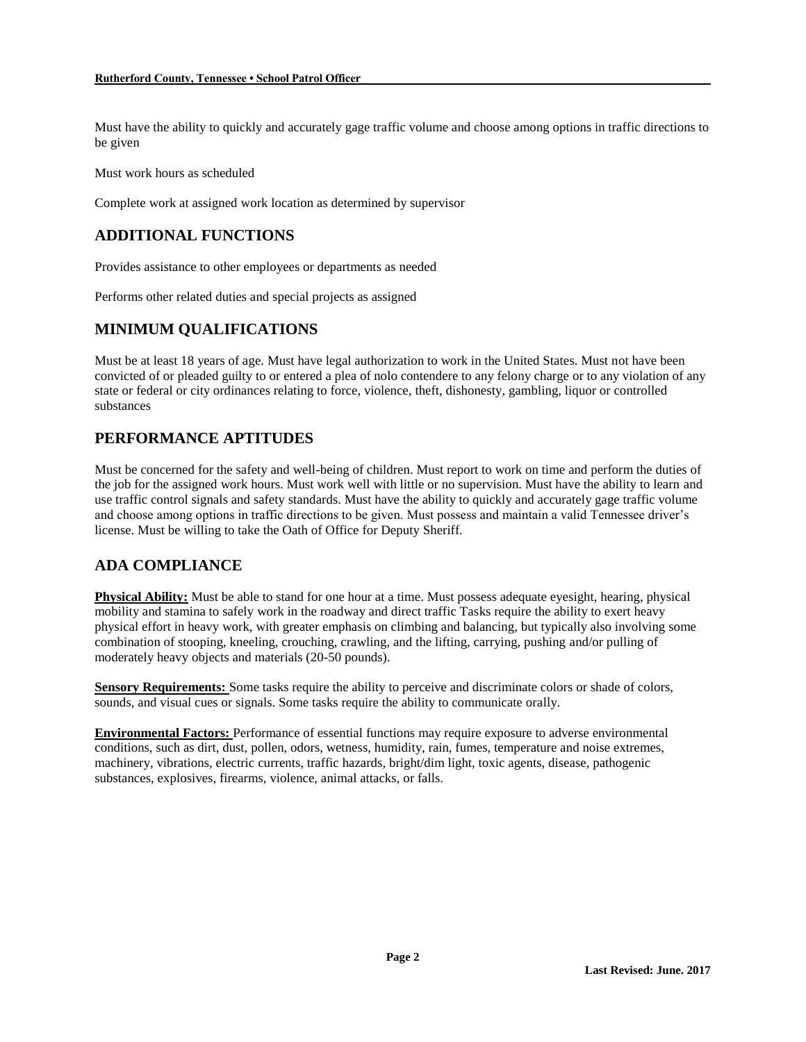Must have the ability to quickly and accurately gage traffic volume and choose among options in traffic directions to be given

Must work hours as scheduled

Complete work at assigned work location as determined by supervisor

## **ADDITIONAL FUNCTIONS**

Provides assistance to other employees or departments as needed

Performs other related duties and special projects as assigned

## **MINIMUM QUALIFICATIONS**

Must be at least 18 years of age. Must have legal authorization to work in the United States. Must not have been convicted of or pleaded guilty to or entered a plea of nolo contendere to any felony charge or to any violation of any state or federal or city ordinances relating to force, violence, theft, dishonesty, gambling, liquor or controlled substances

## **PERFORMANCE APTITUDES**

Must be concerned for the safety and well-being of children. Must report to work on time and perform the duties of the job for the assigned work hours. Must work well with little or no supervision. Must have the ability to learn and use traffic control signals and safety standards. Must have the ability to quickly and accurately gage traffic volume and choose among options in traffic directions to be given. Must possess and maintain a valid Tennessee driver's license. Must be willing to take the Oath of Office for Deputy Sheriff.

## **ADA COMPLIANCE**

**Physical Ability:** Must be able to stand for one hour at a time. Must possess adequate eyesight, hearing, physical mobility and stamina to safely work in the roadway and direct traffic Tasks require the ability to exert heavy physical effort in heavy work, with greater emphasis on climbing and balancing, but typically also involving some combination of stooping, kneeling, crouching, crawling, and the lifting, carrying, pushing and/or pulling of moderately heavy objects and materials (20-50 pounds).

**Sensory Requirements:** Some tasks require the ability to perceive and discriminate colors or shade of colors, sounds, and visual cues or signals. Some tasks require the ability to communicate orally.

**Environmental Factors:** Performance of essential functions may require exposure to adverse environmental conditions, such as dirt, dust, pollen, odors, wetness, humidity, rain, fumes, temperature and noise extremes, machinery, vibrations, electric currents, traffic hazards, bright/dim light, toxic agents, disease, pathogenic substances, explosives, firearms, violence, animal attacks, or falls.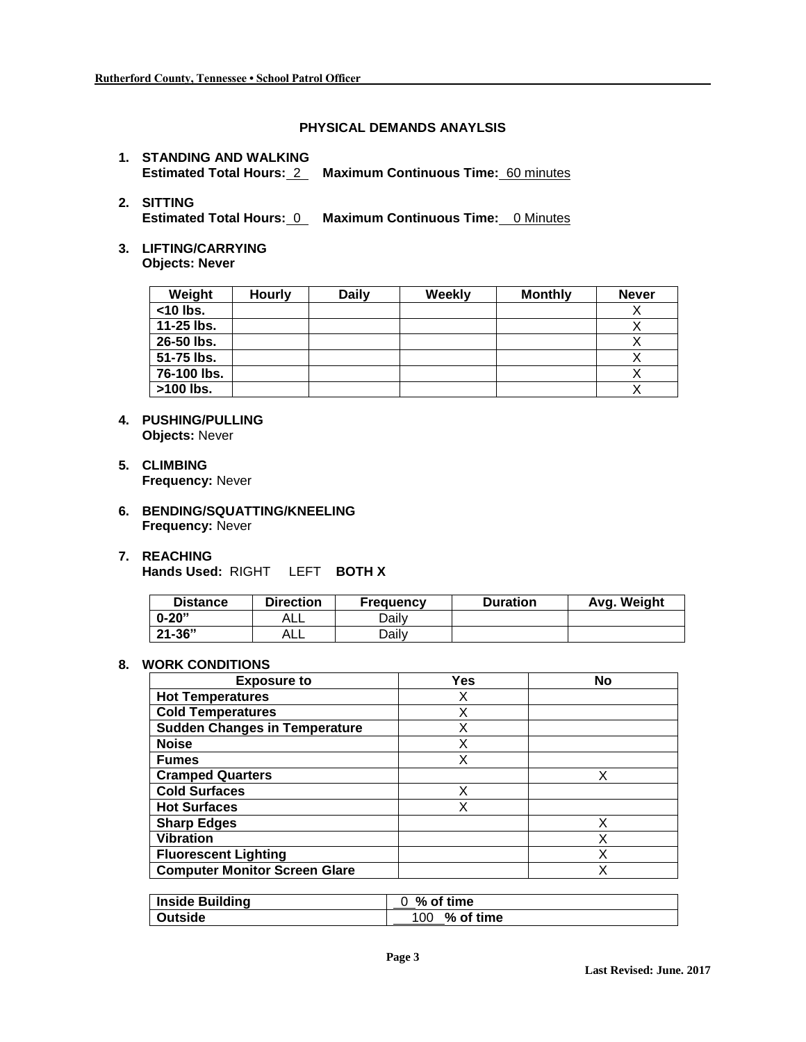#### **PHYSICAL DEMANDS ANAYLSIS**

**1. STANDING AND WALKING Estimated Total Hours:** 2 **Maximum Continuous Time:** 60 minutes

# **2. SITTING**

**Estimated Total Hours:** 0 **Maximum Continuous Time:** 0 Minutes

**3. LIFTING/CARRYING Objects: Never**

| Weight      | <b>Hourly</b> | <b>Daily</b> | Weekly | <b>Monthly</b> | <b>Never</b> |
|-------------|---------------|--------------|--------|----------------|--------------|
| $<$ 10 lbs. |               |              |        |                |              |
| 11-25 lbs.  |               |              |        |                |              |
| 26-50 lbs.  |               |              |        |                |              |
| 51-75 lbs.  |               |              |        |                |              |
| 76-100 lbs. |               |              |        |                |              |
| >100 lbs.   |               |              |        |                |              |

- **4. PUSHING/PULLING Objects:** Never
- **5. CLIMBING Frequency:** Never
- **6. BENDING/SQUATTING/KNEELING Frequency:** Never
- **7. REACHING**

**Hands Used:** RIGHT LEFT **BOTH X**

| <b>Distance</b> | <b>Direction</b> | <b>Frequency</b> | <b>Duration</b> | Avg. Weight |
|-----------------|------------------|------------------|-----------------|-------------|
| $0 - 20"$       | AL∟              | Dailv            |                 |             |
| $21 - 36"$      | ALL              | Dailv            |                 |             |

#### **8. WORK CONDITIONS**

| <b>Exposure to</b>                   | Yes | No |
|--------------------------------------|-----|----|
| <b>Hot Temperatures</b>              | Х   |    |
| <b>Cold Temperatures</b>             | X   |    |
| <b>Sudden Changes in Temperature</b> | Х   |    |
| <b>Noise</b>                         | Χ   |    |
| <b>Fumes</b>                         | х   |    |
| <b>Cramped Quarters</b>              |     | x  |
| <b>Cold Surfaces</b>                 | х   |    |
| <b>Hot Surfaces</b>                  | Χ   |    |
| <b>Sharp Edges</b>                   |     | X  |
| <b>Vibration</b>                     |     | Χ  |
| <b>Fluorescent Lighting</b>          |     | Χ  |
| <b>Computer Monitor Screen Glare</b> |     | X  |

| <b>Inside Building</b> | $0\%$ of time       |  |
|------------------------|---------------------|--|
| Outside                | $\%$ of time<br>100 |  |